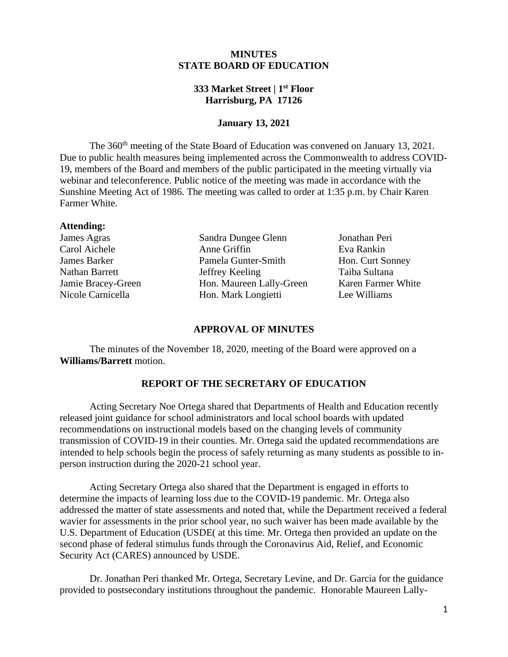## **MINUTES STATE BOARD OF EDUCATION**

### **333 Market Street | 1st Floor Harrisburg, PA 17126**

### **January 13, 2021**

The 360<sup>th</sup> meeting of the State Board of Education was convened on January 13, 2021. Due to public health measures being implemented across the Commonwealth to address COVID-19, members of the Board and members of the public participated in the meeting virtually via webinar and teleconference. Public notice of the meeting was made in accordance with the Sunshine Meeting Act of 1986. The meeting was called to order at 1:35 p.m. by Chair Karen Farmer White.

#### **Attending:**

James Agras Sandra Dungee Glenn Jonathan Peri Carol Aichele Anne Griffin Eva Rankin James Barker Pamela Gunter-Smith Hon. Curt Sonney Nathan Barrett Jeffrey Keeling Taiba Sultana Jamie Bracey-Green Hon. Maureen Lally-Green Karen Farmer White Nicole Carnicella Hon. Mark Longietti Lee Williams

#### **APPROVAL OF MINUTES**

The minutes of the November 18, 2020, meeting of the Board were approved on a **Williams/Barrett** motion.

# **REPORT OF THE SECRETARY OF EDUCATION**

 Acting Secretary Noe Ortega shared that Departments of Health and Education recently released joint guidance for school administrators and local school boards with [updated](https://gcc02.safelinks.protection.outlook.com/?url=https%3A%2F%2Fu7061146.ct.sendgrid.net%2Fls%2Fclick%3Fupn%3D4tNED-2FM8iDZJQyQ53jATUUgTUlp0Z0M6aynmnVG0UMan-2F-2Fk9ZC513Y1Wh4A3t3yZW-2BvIT-2FG3T4VyIaD4kR-2BCfuWM1CppanllpDKo2-2BQY4iuTjsEsDSsdkN5YvfS1BWi0J6cjxfZhXaxlMpxENryLDOCVPzksHyGrRPtIqdd9owdpUzM7GJi88Ttl4Hz1w55KDd6bXS218Zpm6QQCPfXr4uZoROxQqPPBgDu9T0bWh90-3DRCkD_m1-2B5T0y9KKTFwH14HcV3JzUhu102xvnAqiIYeHjxpt3IvO44TXETi5huXbA5RHQZ9qlM224puOpjhYeYGzBy9xJRoFaNgzN5-2BAu-2FkfK2Y6EONx1UHLk4o0YUVVpSatl9FhLUk8kPF9iWLGukSd5gyAhPke9VPBXCqPE-2FapdLZv10YuanygTSFAJyT-2FATCjHxV9djTBw3aR5qxbvJVebH6ggXbLLttfAbjN8u0mhbjd6rbADmkqrJwx2aLwtliAHMveqMbkoY55Hkkp1NR02ciDc8FW1tDhqckukvo-2BcvFovw6jwg5PG7rBA9Wm8ukAvHwTIxrJzT8K7L4ZOw8IwPGQtUHpc3iLbW6zogQu6czuw-3D&data=04%7C01%7Cstephajone%40pa.gov%7C90d2b6b293e347049baf08d8b32c474a%7C418e284101284dd59b6c47fc5a9a1bde%7C0%7C0%7C637456350043250966%7CUnknown%7CTWFpbGZsb3d8eyJWIjoiMC4wLjAwMDAiLCJQIjoiV2luMzIiLCJBTiI6Ik1haWwiLCJXVCI6Mn0%3D%7C1000&sdata=p0siy02x%2BQli1vNo%2B6kSuhIgKVEFa%2Bh2Bjl72aO%2BsTQ%3D&reserved=0)  [recommendations](https://gcc02.safelinks.protection.outlook.com/?url=https%3A%2F%2Fu7061146.ct.sendgrid.net%2Fls%2Fclick%3Fupn%3D4tNED-2FM8iDZJQyQ53jATUUgTUlp0Z0M6aynmnVG0UMan-2F-2Fk9ZC513Y1Wh4A3t3yZW-2BvIT-2FG3T4VyIaD4kR-2BCfuWM1CppanllpDKo2-2BQY4iuTjsEsDSsdkN5YvfS1BWi0J6cjxfZhXaxlMpxENryLDOCVPzksHyGrRPtIqdd9owdpUzM7GJi88Ttl4Hz1w55KDd6bXS218Zpm6QQCPfXr4uZoROxQqPPBgDu9T0bWh90-3DRCkD_m1-2B5T0y9KKTFwH14HcV3JzUhu102xvnAqiIYeHjxpt3IvO44TXETi5huXbA5RHQZ9qlM224puOpjhYeYGzBy9xJRoFaNgzN5-2BAu-2FkfK2Y6EONx1UHLk4o0YUVVpSatl9FhLUk8kPF9iWLGukSd5gyAhPke9VPBXCqPE-2FapdLZv10YuanygTSFAJyT-2FATCjHxV9djTBw3aR5qxbvJVebH6ggXbLLttfAbjN8u0mhbjd6rbADmkqrJwx2aLwtliAHMveqMbkoY55Hkkp1NR02ciDc8FW1tDhqckukvo-2BcvFovw6jwg5PG7rBA9Wm8ukAvHwTIxrJzT8K7L4ZOw8IwPGQtUHpc3iLbW6zogQu6czuw-3D&data=04%7C01%7Cstephajone%40pa.gov%7C90d2b6b293e347049baf08d8b32c474a%7C418e284101284dd59b6c47fc5a9a1bde%7C0%7C0%7C637456350043250966%7CUnknown%7CTWFpbGZsb3d8eyJWIjoiMC4wLjAwMDAiLCJQIjoiV2luMzIiLCJBTiI6Ik1haWwiLCJXVCI6Mn0%3D%7C1000&sdata=p0siy02x%2BQli1vNo%2B6kSuhIgKVEFa%2Bh2Bjl72aO%2BsTQ%3D&reserved=0) on instructional models based on the changing levels of community transmission of COVID-19 in their counties. Mr. Ortega said the updated recommendations are intended to help schools begin the process of safely returning as many students as possible to inperson instruction during the 2020-21 school year.

Acting Secretary Ortega also shared that the Department is engaged in efforts to determine the impacts of learning loss due to the COVID-19 pandemic. Mr. Ortega also addressed the matter of state assessments and noted that, while the Department received a federal wavier for assessments in the prior school year, no such waiver has been made available by the U.S. Department of Education (USDE( at this time. Mr. Ortega then provided an update on the second phase of federal stimulus funds through the Coronavirus Aid, Relief, and Economic Security Act (CARES) announced by USDE.

Dr. Jonathan Peri thanked Mr. Ortega, Secretary Levine, and Dr. Garcia for the guidance provided to postsecondary institutions throughout the pandemic. Honorable Maureen Lally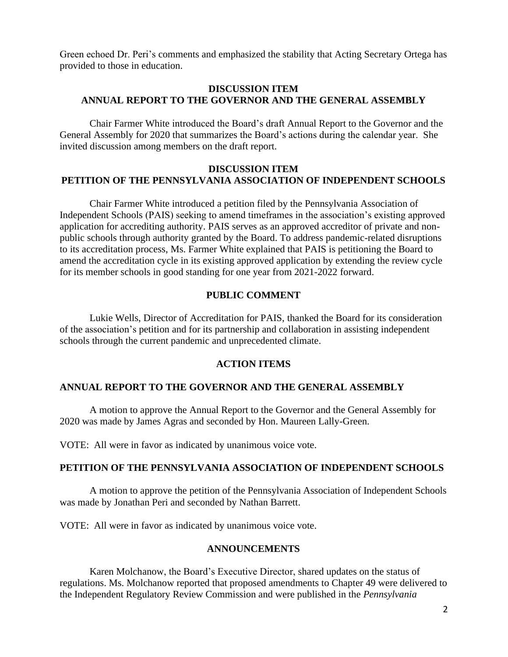Green echoed Dr. Peri's comments and emphasized the stability that Acting Secretary Ortega has provided to those in education.

# **DISCUSSION ITEM ANNUAL REPORT TO THE GOVERNOR AND THE GENERAL ASSEMBLY**

Chair Farmer White introduced the Board's draft Annual Report to the Governor and the General Assembly for 2020 that summarizes the Board's actions during the calendar year. She invited discussion among members on the draft report.

### **DISCUSSION ITEM PETITION OF THE PENNSYLVANIA ASSOCIATION OF INDEPENDENT SCHOOLS**

Chair Farmer White introduced a petition filed by the Pennsylvania Association of Independent Schools (PAIS) seeking to amend timeframes in the association's existing approved application for accrediting authority. PAIS serves as an approved accreditor of private and nonpublic schools through authority granted by the Board. To address pandemic-related disruptions to its accreditation process, Ms. Farmer White explained that PAIS is petitioning the Board to amend the accreditation cycle in its existing approved application by extending the review cycle for its member schools in good standing for one year from 2021-2022 forward.

### **PUBLIC COMMENT**

Lukie Wells, Director of Accreditation for PAIS, thanked the Board for its consideration of the association's petition and for its partnership and collaboration in assisting independent schools through the current pandemic and unprecedented climate.

#### **ACTION ITEMS**

#### **ANNUAL REPORT TO THE GOVERNOR AND THE GENERAL ASSEMBLY**

A motion to approve the Annual Report to the Governor and the General Assembly for 2020 was made by James Agras and seconded by Hon. Maureen Lally-Green.

VOTE: All were in favor as indicated by unanimous voice vote.

#### **PETITION OF THE PENNSYLVANIA ASSOCIATION OF INDEPENDENT SCHOOLS**

A motion to approve the petition of the Pennsylvania Association of Independent Schools was made by Jonathan Peri and seconded by Nathan Barrett.

VOTE: All were in favor as indicated by unanimous voice vote.

### **ANNOUNCEMENTS**

Karen Molchanow, the Board's Executive Director, shared updates on the status of regulations. Ms. Molchanow reported that proposed amendments to Chapter 49 were delivered to the Independent Regulatory Review Commission and were published in the *Pennsylvania*